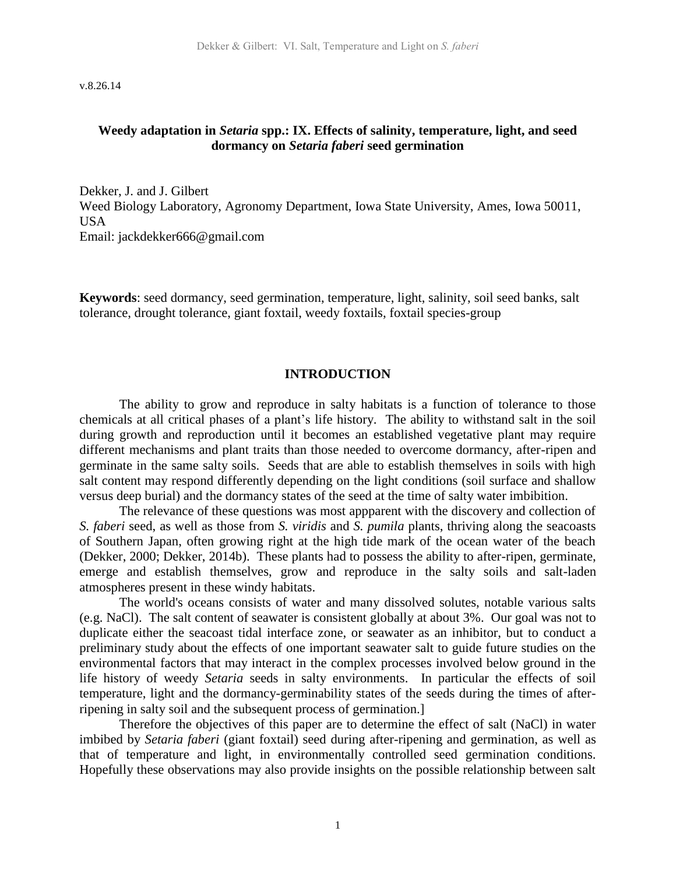v.8.26.14

#### **Weedy adaptation in** *Setaria* **spp.: IX. Effects of salinity, temperature, light, and seed dormancy on** *Setaria faberi* **seed germination**

Dekker, J. and J. Gilbert Weed Biology Laboratory, Agronomy Department, Iowa State University, Ames, Iowa 50011, USA Email: jackdekker666@gmail.com

**Keywords**: seed dormancy, seed germination, temperature, light, salinity, soil seed banks, salt tolerance, drought tolerance, giant foxtail, weedy foxtails, foxtail species-group

#### **INTRODUCTION**

The ability to grow and reproduce in salty habitats is a function of tolerance to those chemicals at all critical phases of a plant's life history. The ability to withstand salt in the soil during growth and reproduction until it becomes an established vegetative plant may require different mechanisms and plant traits than those needed to overcome dormancy, after-ripen and germinate in the same salty soils. Seeds that are able to establish themselves in soils with high salt content may respond differently depending on the light conditions (soil surface and shallow versus deep burial) and the dormancy states of the seed at the time of salty water imbibition.

The relevance of these questions was most appparent with the discovery and collection of *S. faberi* seed, as well as those from *S. viridis* and *S. pumila* plants, thriving along the seacoasts of Southern Japan, often growing right at the high tide mark of the ocean water of the beach (Dekker, 2000; Dekker, 2014b). These plants had to possess the ability to after-ripen, germinate, emerge and establish themselves, grow and reproduce in the salty soils and salt-laden atmospheres present in these windy habitats.

The world's oceans consists of water and many dissolved solutes, notable various salts (e.g. NaCl). The salt content of seawater is consistent globally at about 3%. Our goal was not to duplicate either the seacoast tidal interface zone, or seawater as an inhibitor, but to conduct a preliminary study about the effects of one important seawater salt to guide future studies on the environmental factors that may interact in the complex processes involved below ground in the life history of weedy *Setaria* seeds in salty environments. In particular the effects of soil temperature, light and the dormancy-germinability states of the seeds during the times of afterripening in salty soil and the subsequent process of germination.]

Therefore the objectives of this paper are to determine the effect of salt (NaCl) in water imbibed by *Setaria faberi* (giant foxtail) seed during after-ripening and germination, as well as that of temperature and light, in environmentally controlled seed germination conditions. Hopefully these observations may also provide insights on the possible relationship between salt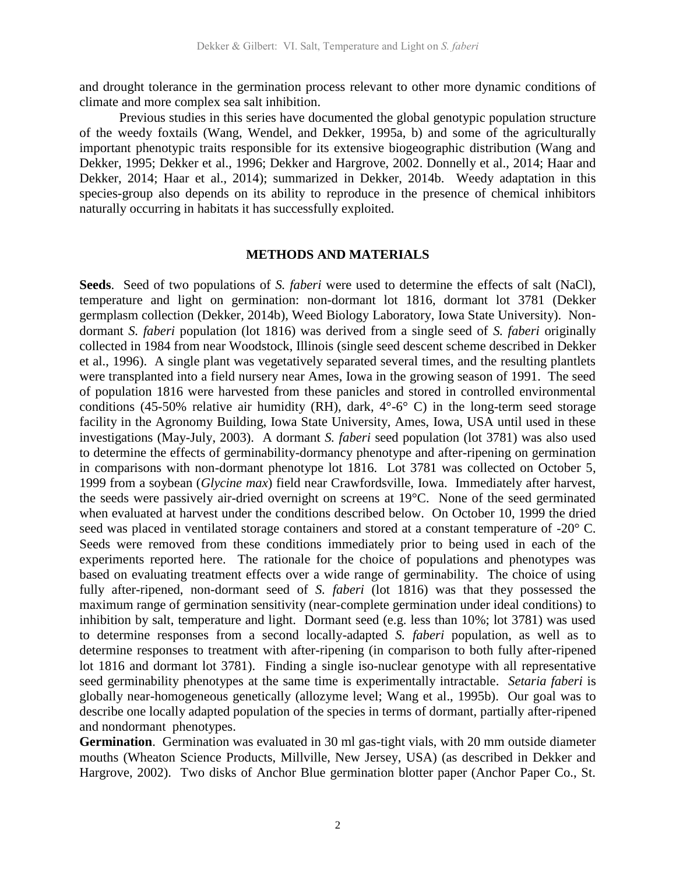and drought tolerance in the germination process relevant to other more dynamic conditions of climate and more complex sea salt inhibition.

Previous studies in this series have documented the global genotypic population structure of the weedy foxtails (Wang, Wendel, and Dekker, 1995a, b) and some of the agriculturally important phenotypic traits responsible for its extensive biogeographic distribution (Wang and Dekker, 1995; Dekker et al., 1996; Dekker and Hargrove, 2002. Donnelly et al., 2014; Haar and Dekker, 2014; Haar et al., 2014); summarized in Dekker, 2014b. Weedy adaptation in this species-group also depends on its ability to reproduce in the presence of chemical inhibitors naturally occurring in habitats it has successfully exploited.

### **METHODS AND MATERIALS**

**Seeds**. Seed of two populations of *S. faberi* were used to determine the effects of salt (NaCl), temperature and light on germination: non-dormant lot 1816, dormant lot 3781 (Dekker germplasm collection (Dekker, 2014b), Weed Biology Laboratory, Iowa State University). Nondormant *S. faberi* population (lot 1816) was derived from a single seed of *S. faberi* originally collected in 1984 from near Woodstock, Illinois (single seed descent scheme described in Dekker et al., 1996). A single plant was vegetatively separated several times, and the resulting plantlets were transplanted into a field nursery near Ames, Iowa in the growing season of 1991. The seed of population 1816 were harvested from these panicles and stored in controlled environmental conditions (45-50% relative air humidity (RH), dark,  $4^{\circ}$ -6 $^{\circ}$  C) in the long-term seed storage facility in the Agronomy Building, Iowa State University, Ames, Iowa, USA until used in these investigations (May-July, 2003). A dormant *S. faberi* seed population (lot 3781) was also used to determine the effects of germinability-dormancy phenotype and after-ripening on germination in comparisons with non-dormant phenotype lot 1816. Lot 3781 was collected on October 5, 1999 from a soybean (*Glycine max*) field near Crawfordsville, Iowa. Immediately after harvest, the seeds were passively air-dried overnight on screens at 19°C. None of the seed germinated when evaluated at harvest under the conditions described below. On October 10, 1999 the dried seed was placed in ventilated storage containers and stored at a constant temperature of -20° C. Seeds were removed from these conditions immediately prior to being used in each of the experiments reported here. The rationale for the choice of populations and phenotypes was based on evaluating treatment effects over a wide range of germinability. The choice of using fully after-ripened, non-dormant seed of *S. faberi* (lot 1816) was that they possessed the maximum range of germination sensitivity (near-complete germination under ideal conditions) to inhibition by salt, temperature and light. Dormant seed (e.g. less than 10%; lot 3781) was used to determine responses from a second locally-adapted *S. faberi* population, as well as to determine responses to treatment with after-ripening (in comparison to both fully after-ripened lot 1816 and dormant lot 3781). Finding a single iso-nuclear genotype with all representative seed germinability phenotypes at the same time is experimentally intractable. *Setaria faberi* is globally near-homogeneous genetically (allozyme level; Wang et al., 1995b). Our goal was to describe one locally adapted population of the species in terms of dormant, partially after-ripened and nondormant phenotypes.

**Germination**. Germination was evaluated in 30 ml gas-tight vials, with 20 mm outside diameter mouths (Wheaton Science Products, Millville, New Jersey, USA) (as described in Dekker and Hargrove, 2002). Two disks of Anchor Blue germination blotter paper (Anchor Paper Co., St.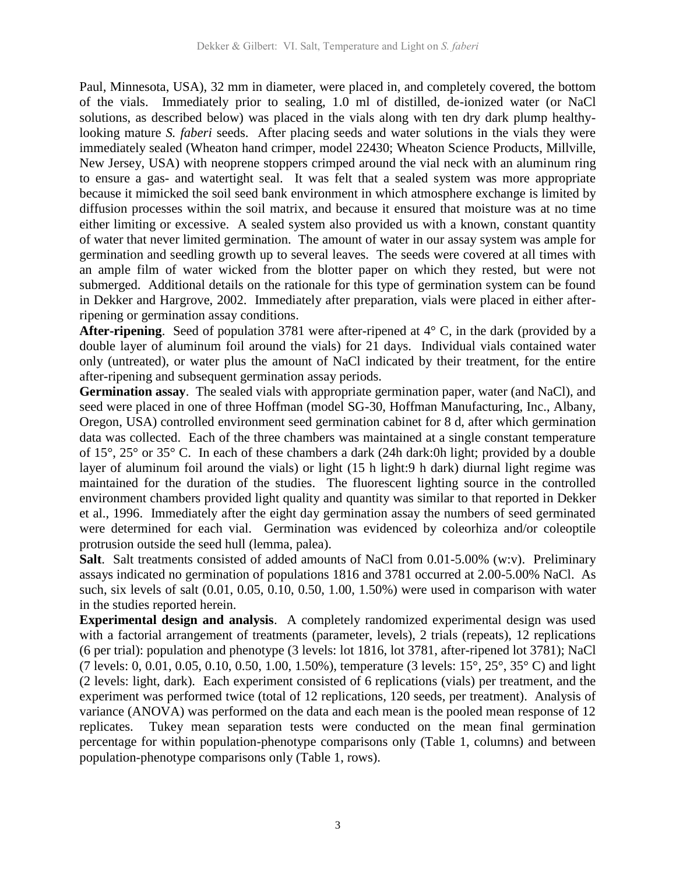Paul, Minnesota, USA), 32 mm in diameter, were placed in, and completely covered, the bottom of the vials. Immediately prior to sealing, 1.0 ml of distilled, de-ionized water (or NaCl solutions, as described below) was placed in the vials along with ten dry dark plump healthylooking mature *S. faberi* seeds. After placing seeds and water solutions in the vials they were immediately sealed (Wheaton hand crimper, model 22430; Wheaton Science Products, Millville, New Jersey, USA) with neoprene stoppers crimped around the vial neck with an aluminum ring to ensure a gas- and watertight seal. It was felt that a sealed system was more appropriate because it mimicked the soil seed bank environment in which atmosphere exchange is limited by diffusion processes within the soil matrix, and because it ensured that moisture was at no time either limiting or excessive. A sealed system also provided us with a known, constant quantity of water that never limited germination. The amount of water in our assay system was ample for germination and seedling growth up to several leaves. The seeds were covered at all times with an ample film of water wicked from the blotter paper on which they rested, but were not submerged. Additional details on the rationale for this type of germination system can be found in Dekker and Hargrove, 2002. Immediately after preparation, vials were placed in either afterripening or germination assay conditions.

**After-ripening**. Seed of population 3781 were after-ripened at 4° C, in the dark (provided by a double layer of aluminum foil around the vials) for 21 days. Individual vials contained water only (untreated), or water plus the amount of NaCl indicated by their treatment, for the entire after-ripening and subsequent germination assay periods.

**Germination assay**. The sealed vials with appropriate germination paper, water (and NaCl), and seed were placed in one of three Hoffman (model SG-30, Hoffman Manufacturing, Inc., Albany, Oregon, USA) controlled environment seed germination cabinet for 8 d, after which germination data was collected. Each of the three chambers was maintained at a single constant temperature of 15°, 25° or 35° C. In each of these chambers a dark (24h dark:0h light; provided by a double layer of aluminum foil around the vials) or light (15 h light:9 h dark) diurnal light regime was maintained for the duration of the studies. The fluorescent lighting source in the controlled environment chambers provided light quality and quantity was similar to that reported in Dekker et al., 1996. Immediately after the eight day germination assay the numbers of seed germinated were determined for each vial. Germination was evidenced by coleorhiza and/or coleoptile protrusion outside the seed hull (lemma, palea).

**Salt**. Salt treatments consisted of added amounts of NaCl from 0.01-5.00% (w:v). Preliminary assays indicated no germination of populations 1816 and 3781 occurred at 2.00-5.00% NaCl. As such, six levels of salt (0.01, 0.05, 0.10, 0.50, 1.00, 1.50%) were used in comparison with water in the studies reported herein.

**Experimental design and analysis**. A completely randomized experimental design was used with a factorial arrangement of treatments (parameter, levels), 2 trials (repeats), 12 replications (6 per trial): population and phenotype (3 levels: lot 1816, lot 3781, after-ripened lot 3781); NaCl (7 levels: 0, 0.01, 0.05, 0.10, 0.50, 1.00, 1.50%), temperature (3 levels: 15°, 25°, 35° C) and light (2 levels: light, dark). Each experiment consisted of 6 replications (vials) per treatment, and the experiment was performed twice (total of 12 replications, 120 seeds, per treatment). Analysis of variance (ANOVA) was performed on the data and each mean is the pooled mean response of 12 replicates. Tukey mean separation tests were conducted on the mean final germination percentage for within population-phenotype comparisons only (Table 1, columns) and between population-phenotype comparisons only (Table 1, rows).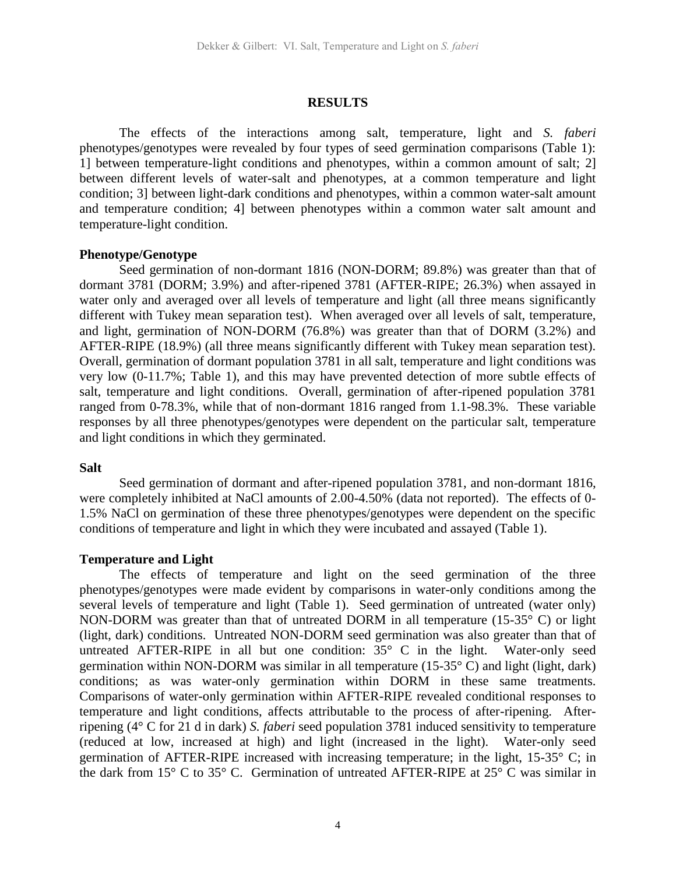#### **RESULTS**

The effects of the interactions among salt, temperature, light and *S. faberi* phenotypes/genotypes were revealed by four types of seed germination comparisons (Table 1): 1] between temperature-light conditions and phenotypes, within a common amount of salt; 2] between different levels of water-salt and phenotypes, at a common temperature and light condition; 3] between light-dark conditions and phenotypes, within a common water-salt amount and temperature condition; 4] between phenotypes within a common water salt amount and temperature-light condition.

### **Phenotype/Genotype**

Seed germination of non-dormant 1816 (NON-DORM; 89.8%) was greater than that of dormant 3781 (DORM; 3.9%) and after-ripened 3781 (AFTER-RIPE; 26.3%) when assayed in water only and averaged over all levels of temperature and light (all three means significantly different with Tukey mean separation test). When averaged over all levels of salt, temperature, and light, germination of NON-DORM (76.8%) was greater than that of DORM (3.2%) and AFTER-RIPE (18.9%) (all three means significantly different with Tukey mean separation test). Overall, germination of dormant population 3781 in all salt, temperature and light conditions was very low (0-11.7%; Table 1), and this may have prevented detection of more subtle effects of salt, temperature and light conditions. Overall, germination of after-ripened population 3781 ranged from 0-78.3%, while that of non-dormant 1816 ranged from 1.1-98.3%. These variable responses by all three phenotypes/genotypes were dependent on the particular salt, temperature and light conditions in which they germinated.

#### **Salt**

Seed germination of dormant and after-ripened population 3781, and non-dormant 1816, were completely inhibited at NaCl amounts of 2.00-4.50% (data not reported). The effects of 0- 1.5% NaCl on germination of these three phenotypes/genotypes were dependent on the specific conditions of temperature and light in which they were incubated and assayed (Table 1).

#### **Temperature and Light**

The effects of temperature and light on the seed germination of the three phenotypes/genotypes were made evident by comparisons in water-only conditions among the several levels of temperature and light (Table 1). Seed germination of untreated (water only) NON-DORM was greater than that of untreated DORM in all temperature (15-35° C) or light (light, dark) conditions. Untreated NON-DORM seed germination was also greater than that of untreated AFTER-RIPE in all but one condition:  $35^{\circ}$  C in the light. Water-only seed germination within NON-DORM was similar in all temperature (15-35 $\degree$  C) and light (light, dark) conditions; as was water-only germination within DORM in these same treatments. Comparisons of water-only germination within AFTER-RIPE revealed conditional responses to temperature and light conditions, affects attributable to the process of after-ripening. Afterripening (4° C for 21 d in dark) *S. faberi* seed population 3781 induced sensitivity to temperature (reduced at low, increased at high) and light (increased in the light). Water-only seed germination of AFTER-RIPE increased with increasing temperature; in the light, 15-35° C; in the dark from 15° C to 35° C. Germination of untreated AFTER-RIPE at 25° C was similar in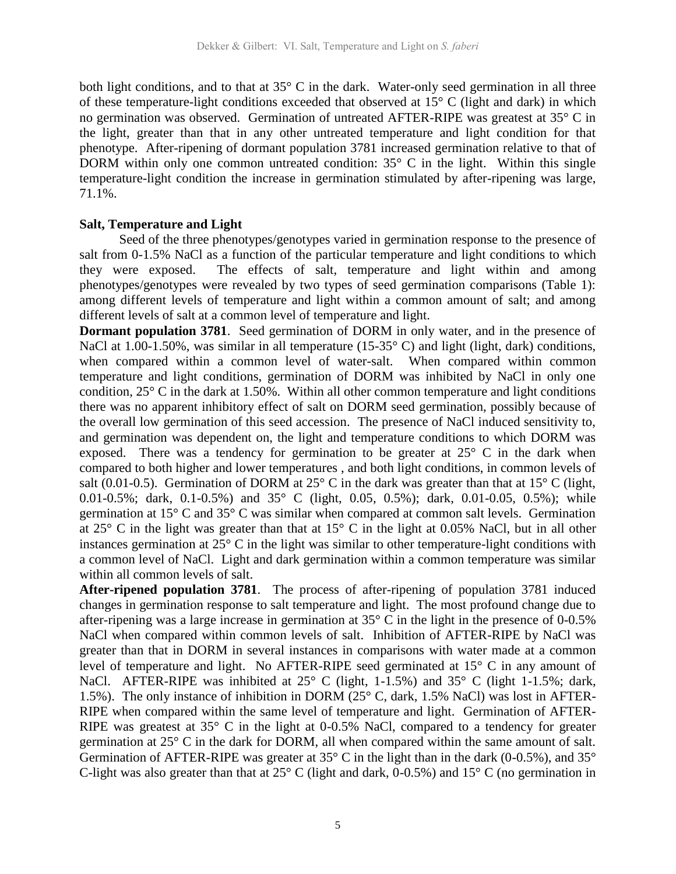both light conditions, and to that at 35° C in the dark. Water-only seed germination in all three of these temperature-light conditions exceeded that observed at 15° C (light and dark) in which no germination was observed. Germination of untreated AFTER-RIPE was greatest at 35° C in the light, greater than that in any other untreated temperature and light condition for that phenotype. After-ripening of dormant population 3781 increased germination relative to that of DORM within only one common untreated condition:  $35^{\circ}$  C in the light. Within this single temperature-light condition the increase in germination stimulated by after-ripening was large, 71.1%.

## **Salt, Temperature and Light**

Seed of the three phenotypes/genotypes varied in germination response to the presence of salt from 0-1.5% NaCl as a function of the particular temperature and light conditions to which they were exposed. The effects of salt, temperature and light within and among phenotypes/genotypes were revealed by two types of seed germination comparisons (Table 1): among different levels of temperature and light within a common amount of salt; and among different levels of salt at a common level of temperature and light.

**Dormant population 3781.** Seed germination of DORM in only water, and in the presence of NaCl at 1.00-1.50%, was similar in all temperature (15-35°C) and light (light, dark) conditions, when compared within a common level of water-salt. When compared within common temperature and light conditions, germination of DORM was inhibited by NaCl in only one condition, 25° C in the dark at 1.50%. Within all other common temperature and light conditions there was no apparent inhibitory effect of salt on DORM seed germination, possibly because of the overall low germination of this seed accession. The presence of NaCl induced sensitivity to, and germination was dependent on, the light and temperature conditions to which DORM was exposed. There was a tendency for germination to be greater at 25° C in the dark when compared to both higher and lower temperatures , and both light conditions, in common levels of salt (0.01-0.5). Germination of DORM at  $25^{\circ}$  C in the dark was greater than that at  $15^{\circ}$  C (light, 0.01-0.5%; dark, 0.1-0.5%) and 35° C (light, 0.05, 0.5%); dark, 0.01-0.05, 0.5%); while germination at 15° C and 35° C was similar when compared at common salt levels. Germination at  $25^{\circ}$  C in the light was greater than that at  $15^{\circ}$  C in the light at 0.05% NaCl, but in all other instances germination at 25° C in the light was similar to other temperature-light conditions with a common level of NaCl. Light and dark germination within a common temperature was similar within all common levels of salt.

**After-ripened population 3781**. The process of after-ripening of population 3781 induced changes in germination response to salt temperature and light. The most profound change due to after-ripening was a large increase in germination at  $35^{\circ}$  C in the light in the presence of 0-0.5% NaCl when compared within common levels of salt. Inhibition of AFTER-RIPE by NaCl was greater than that in DORM in several instances in comparisons with water made at a common level of temperature and light. No AFTER-RIPE seed germinated at 15° C in any amount of NaCl. AFTER-RIPE was inhibited at 25° C (light, 1-1.5%) and 35° C (light 1-1.5%; dark, 1.5%). The only instance of inhibition in DORM (25° C, dark, 1.5% NaCl) was lost in AFTER-RIPE when compared within the same level of temperature and light. Germination of AFTER-RIPE was greatest at  $35^{\circ}$  C in the light at 0-0.5% NaCl, compared to a tendency for greater germination at 25° C in the dark for DORM, all when compared within the same amount of salt. Germination of AFTER-RIPE was greater at 35° C in the light than in the dark (0-0.5%), and 35° C-light was also greater than that at  $25^{\circ}$  C (light and dark, 0-0.5%) and  $15^{\circ}$  C (no germination in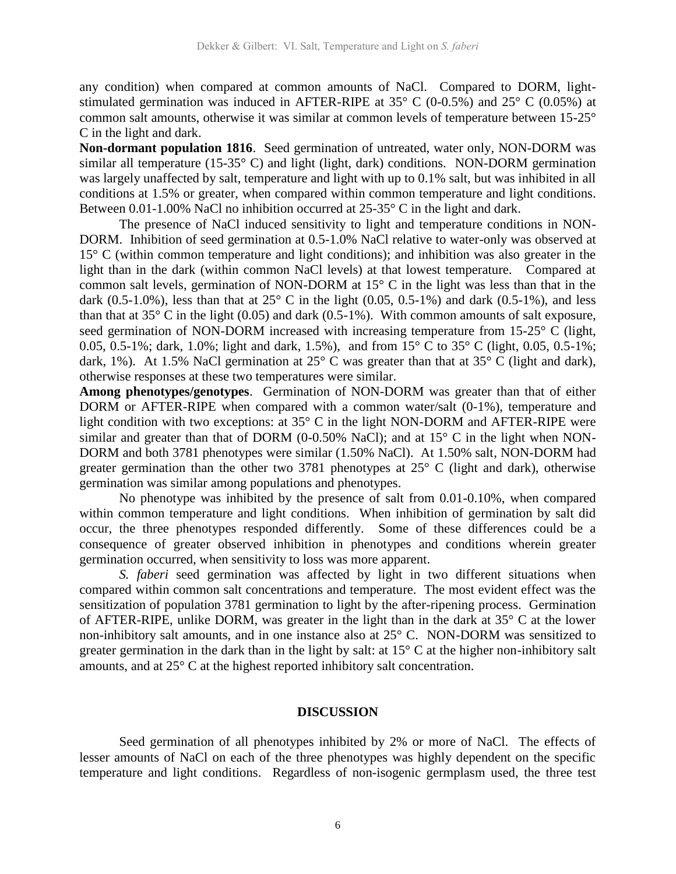any condition) when compared at common amounts of NaCl. Compared to DORM, lightstimulated germination was induced in AFTER-RIPE at  $35^{\circ}$  C (0-0.5%) and  $25^{\circ}$  C (0.05%) at common salt amounts, otherwise it was similar at common levels of temperature between 15-25° C in the light and dark.

**Non-dormant population 1816**. Seed germination of untreated, water only, NON-DORM was similar all temperature (15-35° C) and light (light, dark) conditions.NON-DORM germination was largely unaffected by salt, temperature and light with up to 0.1% salt, but was inhibited in all conditions at 1.5% or greater, when compared within common temperature and light conditions. Between 0.01-1.00% NaCl no inhibition occurred at 25-35° C in the light and dark.

The presence of NaCl induced sensitivity to light and temperature conditions in NON-DORM. Inhibition of seed germination at 0.5-1.0% NaCl relative to water-only was observed at 15° C (within common temperature and light conditions); and inhibition was also greater in the light than in the dark (within common NaCl levels) at that lowest temperature. Compared at common salt levels, germination of NON-DORM at 15° C in the light was less than that in the dark (0.5-1.0%), less than that at  $25^{\circ}$  C in the light (0.05, 0.5-1%) and dark (0.5-1%), and less than that at  $35^{\circ}$  C in the light (0.05) and dark (0.5-1%). With common amounts of salt exposure, seed germination of NON-DORM increased with increasing temperature from 15-25° C (light, 0.05, 0.5-1%; dark, 1.0%; light and dark, 1.5%), and from 15° C to 35° C (light, 0.05, 0.5-1%; dark, 1%). At 1.5% NaCl germination at 25° C was greater than that at 35° C (light and dark), otherwise responses at these two temperatures were similar.

**Among phenotypes/genotypes**. Germination of NON-DORM was greater than that of either DORM or AFTER-RIPE when compared with a common water/salt (0-1%), temperature and light condition with two exceptions: at 35° C in the light NON-DORM and AFTER-RIPE were similar and greater than that of DORM (0-0.50% NaCl); and at  $15^{\circ}$  C in the light when NON-DORM and both 3781 phenotypes were similar (1.50% NaCl). At 1.50% salt, NON-DORM had greater germination than the other two 3781 phenotypes at  $25^{\circ}$  C (light and dark), otherwise germination was similar among populations and phenotypes.

No phenotype was inhibited by the presence of salt from 0.01-0.10%, when compared within common temperature and light conditions. When inhibition of germination by salt did occur, the three phenotypes responded differently. Some of these differences could be a consequence of greater observed inhibition in phenotypes and conditions wherein greater germination occurred, when sensitivity to loss was more apparent.

*S. faberi* seed germination was affected by light in two different situations when compared within common salt concentrations and temperature. The most evident effect was the sensitization of population 3781 germination to light by the after-ripening process. Germination of AFTER-RIPE, unlike DORM, was greater in the light than in the dark at 35° C at the lower non-inhibitory salt amounts, and in one instance also at 25° C. NON-DORM was sensitized to greater germination in the dark than in the light by salt: at 15° C at the higher non-inhibitory salt amounts, and at 25° C at the highest reported inhibitory salt concentration.

#### **DISCUSSION**

Seed germination of all phenotypes inhibited by 2% or more of NaCl. The effects of lesser amounts of NaCl on each of the three phenotypes was highly dependent on the specific temperature and light conditions. Regardless of non-isogenic germplasm used, the three test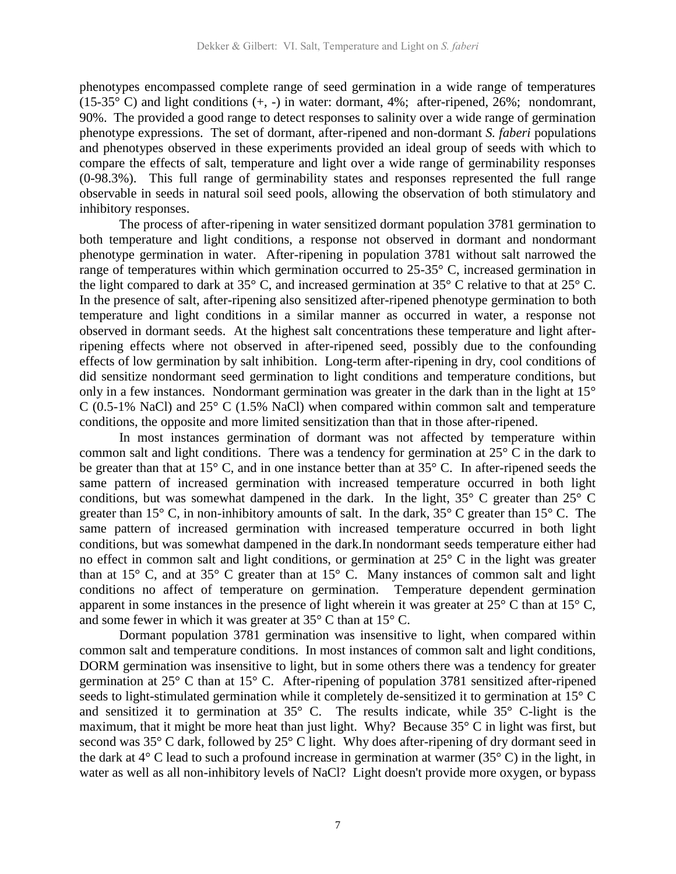phenotypes encompassed complete range of seed germination in a wide range of temperatures (15-35° C) and light conditions  $(+, -)$  in water: dormant, 4%; after-ripened, 26%; nondomrant, 90%. The provided a good range to detect responses to salinity over a wide range of germination phenotype expressions. The set of dormant, after-ripened and non-dormant *S. faberi* populations and phenotypes observed in these experiments provided an ideal group of seeds with which to compare the effects of salt, temperature and light over a wide range of germinability responses (0-98.3%). This full range of germinability states and responses represented the full range observable in seeds in natural soil seed pools, allowing the observation of both stimulatory and inhibitory responses.

The process of after-ripening in water sensitized dormant population 3781 germination to both temperature and light conditions, a response not observed in dormant and nondormant phenotype germination in water. After-ripening in population 3781 without salt narrowed the range of temperatures within which germination occurred to 25-35° C, increased germination in the light compared to dark at 35° C, and increased germination at 35° C relative to that at 25° C. In the presence of salt, after-ripening also sensitized after-ripened phenotype germination to both temperature and light conditions in a similar manner as occurred in water, a response not observed in dormant seeds. At the highest salt concentrations these temperature and light afterripening effects where not observed in after-ripened seed, possibly due to the confounding effects of low germination by salt inhibition.Long-term after-ripening in dry, cool conditions of did sensitize nondormant seed germination to light conditions and temperature conditions, but only in a few instances. Nondormant germination was greater in the dark than in the light at 15° C (0.5-1% NaCl) and 25° C (1.5% NaCl) when compared within common salt and temperature conditions, the opposite and more limited sensitization than that in those after-ripened.

In most instances germination of dormant was not affected by temperature within common salt and light conditions. There was a tendency for germination at 25° C in the dark to be greater than that at 15° C, and in one instance better than at 35° C. In after-ripened seeds the same pattern of increased germination with increased temperature occurred in both light conditions, but was somewhat dampened in the dark. In the light,  $35^{\circ}$  C greater than  $25^{\circ}$  C greater than 15° C, in non-inhibitory amounts of salt. In the dark, 35° C greater than 15° C. The same pattern of increased germination with increased temperature occurred in both light conditions, but was somewhat dampened in the dark.In nondormant seeds temperature either had no effect in common salt and light conditions, or germination at 25° C in the light was greater than at 15 $^{\circ}$  C, and at 35 $^{\circ}$  C greater than at 15 $^{\circ}$  C. Many instances of common salt and light conditions no affect of temperature on germination. Temperature dependent germination apparent in some instances in the presence of light wherein it was greater at 25° C than at 15° C, and some fewer in which it was greater at 35° C than at 15° C.

Dormant population 3781 germination was insensitive to light, when compared within common salt and temperature conditions. In most instances of common salt and light conditions, DORM germination was insensitive to light, but in some others there was a tendency for greater germination at 25° C than at 15° C. After-ripening of population 3781 sensitized after-ripened seeds to light-stimulated germination while it completely de-sensitized it to germination at 15° C and sensitized it to germination at 35° C. The results indicate, while 35° C-light is the maximum, that it might be more heat than just light. Why? Because 35° C in light was first, but second was 35° C dark, followed by 25° C light. Why does after-ripening of dry dormant seed in the dark at 4° C lead to such a profound increase in germination at warmer (35° C) in the light, in water as well as all non-inhibitory levels of NaCl? Light doesn't provide more oxygen, or bypass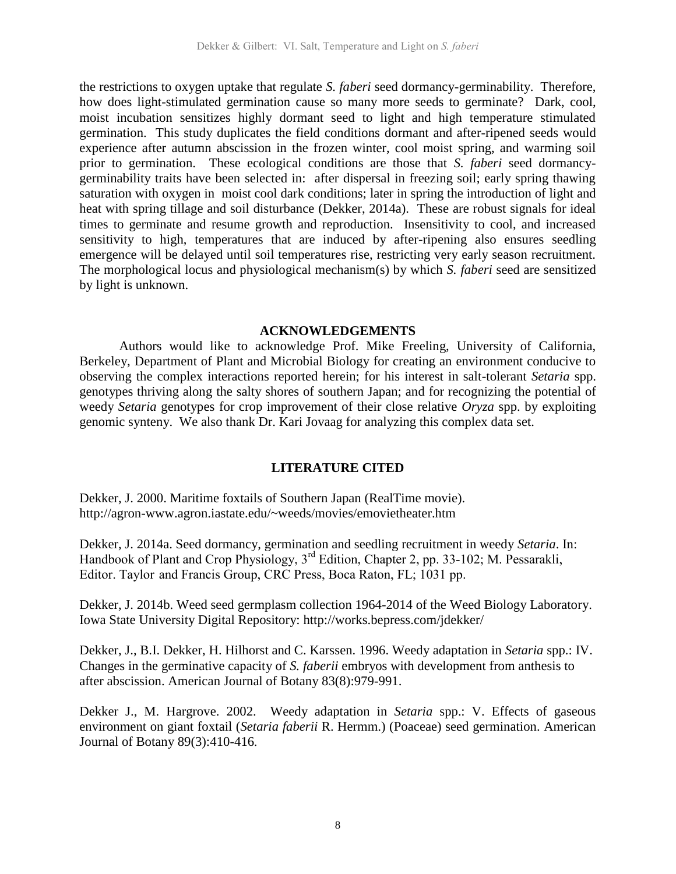the restrictions to oxygen uptake that regulate *S. faberi* seed dormancy-germinability. Therefore, how does light-stimulated germination cause so many more seeds to germinate? Dark, cool, moist incubation sensitizes highly dormant seed to light and high temperature stimulated germination. This study duplicates the field conditions dormant and after-ripened seeds would experience after autumn abscission in the frozen winter, cool moist spring, and warming soil prior to germination. These ecological conditions are those that *S. faberi* seed dormancygerminability traits have been selected in: after dispersal in freezing soil; early spring thawing saturation with oxygen in moist cool dark conditions; later in spring the introduction of light and heat with spring tillage and soil disturbance (Dekker, 2014a). These are robust signals for ideal times to germinate and resume growth and reproduction. Insensitivity to cool, and increased sensitivity to high, temperatures that are induced by after-ripening also ensures seedling emergence will be delayed until soil temperatures rise, restricting very early season recruitment. The morphological locus and physiological mechanism(s) by which *S. faberi* seed are sensitized by light is unknown.

### **ACKNOWLEDGEMENTS**

Authors would like to acknowledge Prof. Mike Freeling, University of California, Berkeley, Department of Plant and Microbial Biology for creating an environment conducive to observing the complex interactions reported herein; for his interest in salt-tolerant *Setaria* spp. genotypes thriving along the salty shores of southern Japan; and for recognizing the potential of weedy *Setaria* genotypes for crop improvement of their close relative *Oryza* spp. by exploiting genomic synteny. We also thank Dr. Kari Jovaag for analyzing this complex data set.

# **LITERATURE CITED**

Dekker, J. 2000. Maritime foxtails of Southern Japan (RealTime movie). http://agron-www.agron.iastate.edu/~weeds/movies/emovietheater.htm

Dekker, J. 2014a. Seed dormancy, germination and seedling recruitment in weedy *Setaria*. In: Handbook of Plant and Crop Physiology, 3<sup>rd</sup> Edition, Chapter 2, pp. 33-102; M. Pessarakli, Editor. Taylor and Francis Group, CRC Press, Boca Raton, FL; 1031 pp.

Dekker, J. 2014b. Weed seed germplasm collection 1964-2014 of the Weed Biology Laboratory. Iowa State University Digital Repository: http://works.bepress.com/jdekker/

Dekker, J., B.I. Dekker, H. Hilhorst and C. Karssen. 1996. Weedy adaptation in *Setaria* spp.: IV. Changes in the germinative capacity of *S. faberii* embryos with development from anthesis to after abscission. American Journal of Botany 83(8):979-991.

Dekker J., M. Hargrove. 2002. Weedy adaptation in *Setaria* spp.: V. Effects of gaseous environment on giant foxtail (*Setaria faberii* R. Hermm.) (Poaceae) seed germination. American Journal of Botany 89(3):410-416.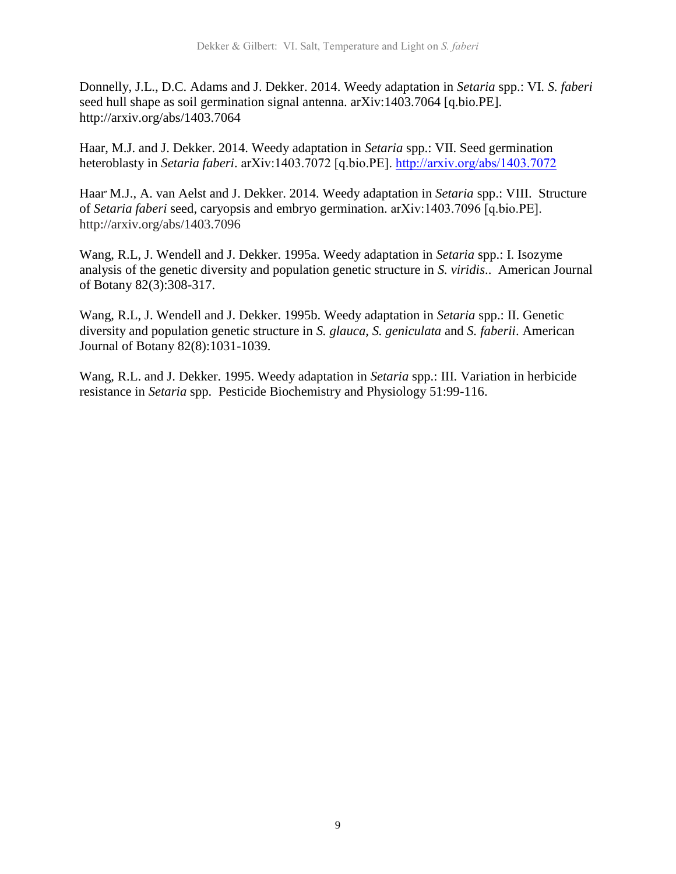Donnelly, J.L., D.C. Adams and J. Dekker. 2014. Weedy adaptation in *Setaria* spp.: VI. *S. faberi*  seed hull shape as soil germination signal antenna. arXiv:1403.7064 [q.bio.PE]. http://arxiv.org/abs/1403.7064

Haar, M.J. and J. Dekker. 2014. Weedy adaptation in *Setaria* spp.: VII. Seed germination heteroblasty in *Setaria faberi*. arXiv:1403.7072 [q.bio.PE].<http://arxiv.org/abs/1403.7072>

Haar, M.J., A. van Aelst and J. Dekker. 2014. Weedy adaptation in *Setaria* spp.: VIII. Structure of *Setaria faberi* seed, caryopsis and embryo germination. arXiv:1403.7096 [q.bio.PE]. http://arxiv.org/abs/1403.7096

Wang, R.L, J. Wendell and J. Dekker. 1995a. Weedy adaptation in *Setaria* spp.: I. Isozyme analysis of the genetic diversity and population genetic structure in *S. viridis*.. American Journal of Botany 82(3):308-317.

Wang, R.L, J. Wendell and J. Dekker. 1995b. Weedy adaptation in *Setaria* spp.: II. Genetic diversity and population genetic structure in *S. glauca*, *S. geniculata* and *S. faberii*. American Journal of Botany 82(8):1031-1039.

Wang, R.L. and J. Dekker. 1995. Weedy adaptation in *Setaria* spp.: III. Variation in herbicide resistance in *Setaria* spp. Pesticide Biochemistry and Physiology 51:99-116.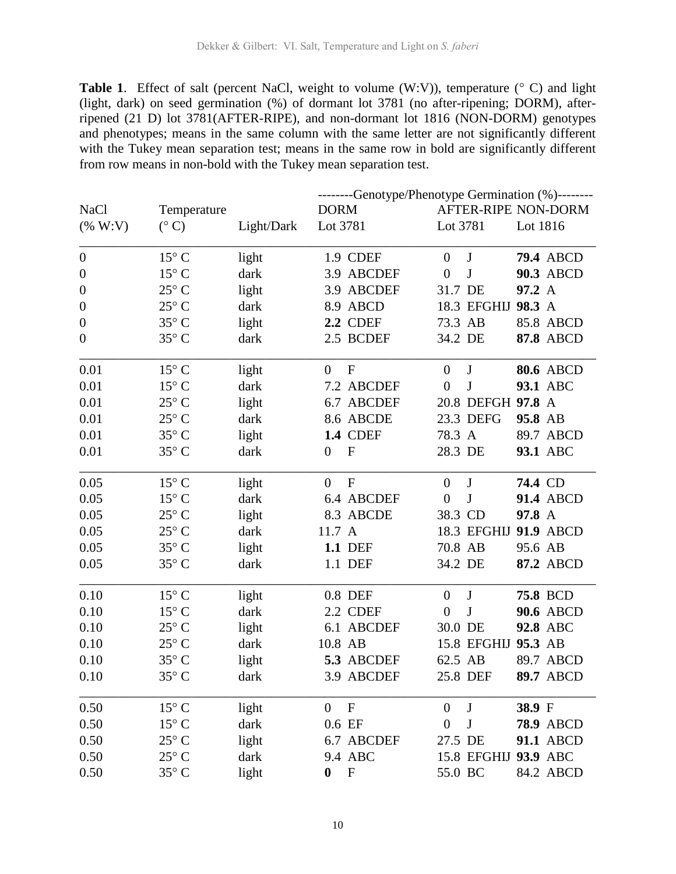**Table 1.** Effect of salt (percent NaCl, weight to volume  $(W:V)$ ), temperature  $(°C)$  and light (light, dark) on seed germination (%) of dormant lot 3781 (no after-ripening; DORM), afterripened (21 D) lot 3781(AFTER-RIPE), and non-dormant lot 1816 (NON-DORM) genotypes and phenotypes; means in the same column with the same letter are not significantly different with the Tukey mean separation test; means in the same row in bold are significantly different from row means in non-bold with the Tukey mean separation test.

|                  |                | --------Genotype/Phenotype Germination (%)-------- |                                               |                             |                     |  |
|------------------|----------------|----------------------------------------------------|-----------------------------------------------|-----------------------------|---------------------|--|
| <b>NaCl</b>      | Temperature    |                                                    | <b>DORM</b>                                   |                             | AFTER-RIPE NON-DORM |  |
| ( % W : V)       | $(^{\circ}C)$  | Light/Dark                                         | Lot 3781                                      | Lot 3781                    | Lot 1816            |  |
| $\boldsymbol{0}$ | $15^{\circ}$ C | light                                              | 1.9 CDEF                                      | J<br>$\theta$               | <b>79.4 ABCD</b>    |  |
| $\boldsymbol{0}$ | $15^{\circ}$ C | dark                                               | 3.9 ABCDEF                                    | $\bf J$<br>$\overline{0}$   | 90.3 ABCD           |  |
| $\boldsymbol{0}$ | $25^{\circ}$ C | light                                              | 3.9 ABCDEF                                    | 31.7 DE                     | 97.2 A              |  |
| $\boldsymbol{0}$ | $25^{\circ}$ C | dark                                               | 8.9 ABCD                                      | 18.3 EFGHIJ                 | 98.3 A              |  |
| $\boldsymbol{0}$ | $35^{\circ}$ C | light                                              | <b>2.2 CDEF</b>                               | 73.3 AB                     | 85.8 ABCD           |  |
| $\overline{0}$   | $35^{\circ}$ C | dark                                               | 2.5 BCDEF                                     | 34.2 DE                     | <b>87.8 ABCD</b>    |  |
| 0.01             | $15^{\circ}$ C | light                                              | $\mathbf{F}$<br>$\overline{0}$                | J<br>$\overline{0}$         | <b>80.6 ABCD</b>    |  |
| 0.01             | $15^{\circ}$ C | dark                                               | 7.2 ABCDEF                                    | $\bf J$<br>$\overline{0}$   | 93.1 ABC            |  |
| 0.01             | $25^{\circ}$ C | light                                              | 6.7 ABCDEF                                    | 20.8 DEFGH 97.8 A           |                     |  |
| 0.01             | $25^{\circ}$ C | dark                                               | 8.6 ABCDE                                     | 23.3 DEFG                   | 95.8 AB             |  |
| 0.01             | $35^{\circ}$ C | light                                              | <b>1.4 CDEF</b>                               | 78.3 A                      | 89.7 ABCD           |  |
| 0.01             | $35^{\circ}$ C | dark                                               | $\mathbf F$<br>$\overline{0}$                 | 28.3 DE                     | 93.1 ABC            |  |
| 0.05             | $15^{\circ}$ C | light                                              | $\overline{0}$<br>$\mathbf{F}$                | $\bf J$<br>$\theta$         | 74.4 CD             |  |
| 0.05             | $15^{\circ}$ C | dark                                               | 6.4 ABCDEF                                    | J<br>$\overline{0}$         | 91.4 ABCD           |  |
| 0.05             | $25^{\circ}$ C | light                                              | 8.3 ABCDE                                     | 38.3 CD                     | 97.8 A              |  |
| 0.05             | $25^{\circ}$ C | dark                                               | 11.7 A                                        | 18.3 EFGHIJ                 | <b>91.9 ABCD</b>    |  |
| 0.05             | $35^{\circ}$ C | light                                              | <b>1.1 DEF</b>                                | 70.8 AB                     | 95.6 AB             |  |
| 0.05             | $35^{\circ}$ C | dark                                               | 1.1 DEF                                       | 34.2 DE                     | 87.2 ABCD           |  |
| 0.10             | $15^{\circ}$ C | light                                              | 0.8 DEF                                       | J<br>$\theta$               | <b>75.8 BCD</b>     |  |
| 0.10             | $15^{\circ}$ C | dark                                               | 2.2 CDEF                                      | ${\bf J}$<br>$\overline{0}$ | <b>90.6 ABCD</b>    |  |
| 0.10             | $25^{\circ}$ C | light                                              | 6.1 ABCDEF                                    | 30.0 DE                     | 92.8 ABC            |  |
| 0.10             | $25^{\circ}$ C | dark                                               | 10.8 AB                                       | 15.8 EFGHIJ                 | 95.3 AB             |  |
| 0.10             | $35^{\circ}$ C | light                                              | 5.3 ABCDEF                                    | 62.5 AB                     | 89.7 ABCD           |  |
| 0.10             | $35^{\circ}$ C | dark                                               | 3.9 ABCDEF                                    | 25.8 DEF                    | <b>89.7 ABCD</b>    |  |
| 0.50             | $15^{\circ}$ C | light                                              | $\boldsymbol{\mathrm{F}}$<br>$\overline{0}$   | $\bf J$<br>$\theta$         | 38.9 F              |  |
| 0.50             | $15^{\circ}$ C | dark                                               | 0.6 EF                                        | J<br>$\boldsymbol{0}$       | <b>78.9 ABCD</b>    |  |
| 0.50             | $25^{\circ}$ C | light                                              | 6.7 ABCDEF                                    | 27.5 DE                     | 91.1 ABCD           |  |
| 0.50             | $25^{\circ}$ C | dark                                               | 9.4 ABC                                       | 15.8 EFGHIJ                 | 93.9 ABC            |  |
| 0.50             | $35^{\circ}$ C | light                                              | $\boldsymbol{\mathrm{F}}$<br>$\boldsymbol{0}$ | 55.0 BC                     | 84.2 ABCD           |  |